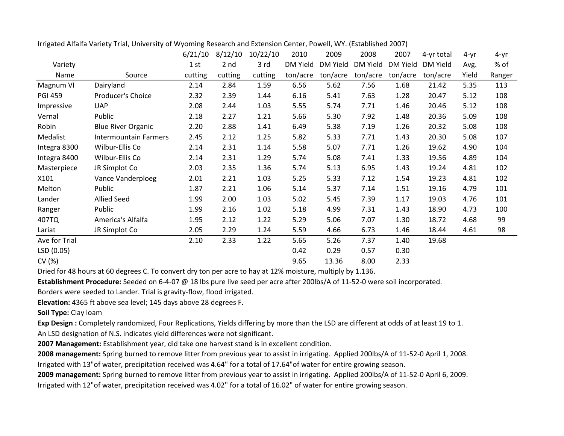|                |                           | 6/21/10 | 8/12/10         | 10/22/10 | 2010     | 2009     | 2008     | 2007     | 4-yr total | $4 - yr$ | 4-yr   |
|----------------|---------------------------|---------|-----------------|----------|----------|----------|----------|----------|------------|----------|--------|
| Variety        |                           | 1st     | 2 <sub>nd</sub> | 3 rd     | DM Yield | DM Yield | DM Yield | DM Yield | DM Yield   | Avg.     | % of   |
| Name           | Source                    | cutting | cutting         | cutting  | ton/acre | ton/acre | ton/acre | ton/acre | ton/acre   | Yield    | Ranger |
| Magnum VI      | Dairyland                 | 2.14    | 2.84            | 1.59     | 6.56     | 5.62     | 7.56     | 1.68     | 21.42      | 5.35     | 113    |
| <b>PGI 459</b> | Producer's Choice         | 2.32    | 2.39            | 1.44     | 6.16     | 5.41     | 7.63     | 1.28     | 20.47      | 5.12     | 108    |
| Impressive     | <b>UAP</b>                | 2.08    | 2.44            | 1.03     | 5.55     | 5.74     | 7.71     | 1.46     | 20.46      | 5.12     | 108    |
| Vernal         | Public                    | 2.18    | 2.27            | 1.21     | 5.66     | 5.30     | 7.92     | 1.48     | 20.36      | 5.09     | 108    |
| Robin          | <b>Blue River Organic</b> | 2.20    | 2.88            | 1.41     | 6.49     | 5.38     | 7.19     | 1.26     | 20.32      | 5.08     | 108    |
| Medalist       | Intermountain Farmers     | 2.45    | 2.12            | 1.25     | 5.82     | 5.33     | 7.71     | 1.43     | 20.30      | 5.08     | 107    |
| Integra 8300   | Wilbur-Ellis Co           | 2.14    | 2.31            | 1.14     | 5.58     | 5.07     | 7.71     | 1.26     | 19.62      | 4.90     | 104    |
| Integra 8400   | Wilbur-Ellis Co           | 2.14    | 2.31            | 1.29     | 5.74     | 5.08     | 7.41     | 1.33     | 19.56      | 4.89     | 104    |
| Masterpiece    | JR Simplot Co             | 2.03    | 2.35            | 1.36     | 5.74     | 5.13     | 6.95     | 1.43     | 19.24      | 4.81     | 102    |
| X101           | Vance Vanderploeg         | 2.01    | 2.21            | 1.03     | 5.25     | 5.33     | 7.12     | 1.54     | 19.23      | 4.81     | 102    |
| Melton         | Public                    | 1.87    | 2.21            | 1.06     | 5.14     | 5.37     | 7.14     | 1.51     | 19.16      | 4.79     | 101    |
| Lander         | <b>Allied Seed</b>        | 1.99    | 2.00            | 1.03     | 5.02     | 5.45     | 7.39     | 1.17     | 19.03      | 4.76     | 101    |
| Ranger         | Public                    | 1.99    | 2.16            | 1.02     | 5.18     | 4.99     | 7.31     | 1.43     | 18.90      | 4.73     | 100    |
| 407TQ          | America's Alfalfa         | 1.95    | 2.12            | 1.22     | 5.29     | 5.06     | 7.07     | 1.30     | 18.72      | 4.68     | 99     |
| Lariat         | JR Simplot Co             | 2.05    | 2.29            | 1.24     | 5.59     | 4.66     | 6.73     | 1.46     | 18.44      | 4.61     | 98     |
| Ave for Trial  |                           | 2.10    | 2.33            | 1.22     | 5.65     | 5.26     | 7.37     | 1.40     | 19.68      |          |        |
| LSD(0.05)      |                           |         |                 |          | 0.42     | 0.29     | 0.57     | 0.30     |            |          |        |
| CV (%)         |                           |         |                 |          | 9.65     | 13.36    | 8.00     | 2.33     |            |          |        |

Irrigated Alfalfa Variety Trial, University of Wyoming Research and Extension Center, Powell, WY. (Established 2007)

Dried for 48 hours at 60 degrees C. To convert dry ton per acre to hay at 12% moisture, multiply by 1.136.

**Establishment Procedure:** Seeded on 6-4-07 @ 18 lbs pure live seed per acre after 200lbs/A of 11-52-0 were soil incorporated.

Borders were seeded to Lander. Trial is gravity-flow, flood irrigated.

**Elevation:** 4365 ft above sea level; 145 days above 28 degrees F.

**Soil Type:** Clay loam

**Exp Design :** Completely randomized, Four Replications, Yields differing by more than the LSD are different at odds of at least 19 to 1. An LSD designation of N.S. indicates yield differences were not significant.

**2007 Management:** Establishment year, did take one harvest stand is in excellent condition.

**2008 management:** Spring burned to remove litter from previous year to assist in irrigating. Applied 200lbs/A of 11-52-0 April 1, 2008. Irrigated with 13"of water, precipitation received was 4.64" for a total of 17.64"of water for entire growing season.

**2009 management:** Spring burned to remove litter from previous year to assist in irrigating. Applied 200lbs/A of 11-52-0 April 6, 2009. Irrigated with 12"of water, precipitation received was 4.02" for a total of 16.02" of water for entire growing season.